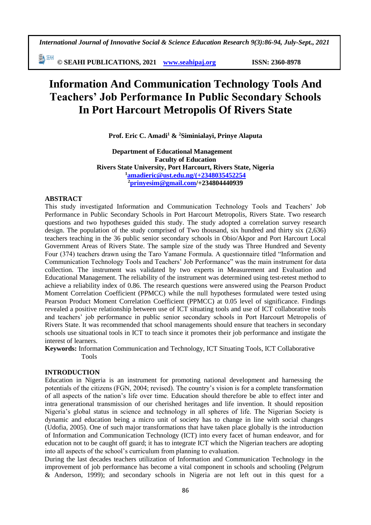*International Journal of Innovative Social & Science Education Research 9(3):86-94, July-Sept., 2021*

EN SEAH **© SEAHI PUBLICATIONS, 2021 [www.seahipaj.org](http://www.seahipaj.org/) ISSN: 2360-8978**

# **Information And Communication Technology Tools And Teachers' Job Performance In Public Secondary Schools In Port Harcourt Metropolis Of Rivers State**

**Prof. Eric C. Amadi<sup>1</sup> & <sup>2</sup>Siminialayi, Prinye Alaputa**

**Department of Educational Management Faculty of Education Rivers State University, Port Harcourt, Rivers State, Nigeria <sup>1</sup>[amadieric@ust.edu.ng/\(+2348035452254](mailto:amadieric@ust.edu.ng/(+2348035452254) <sup>2</sup>[prinyesim@gmail.com/](mailto:prinyesim@gmail.com)+234804440939**

#### **ABSTRACT**

This study investigated Information and Communication Technology Tools and Teachers' Job Performance in Public Secondary Schools in Port Harcourt Metropolis, Rivers State. Two research questions and two hypotheses guided this study. The study adopted a correlation survey research design. The population of the study comprised of Two thousand, six hundred and thirty six (2,636) teachers teaching in the 36 public senior secondary schools in Obio/Akpor and Port Harcourt Local Government Areas of Rivers State. The sample size of the study was Three Hundred and Seventy Four (374) teachers drawn using the Taro Yamane Formula. A questionnaire titled "Information and Communication Technology Tools and Teachers' Job Performance" was the main instrument for data collection. The instrument was validated by two experts in Measurement and Evaluation and Educational Management. The reliability of the instrument was determined using test-retest method to achieve a reliability index of 0.86. The research questions were answered using the Pearson Product Moment Correlation Coefficient (PPMCC) while the null hypotheses formulated were tested using Pearson Product Moment Correlation Coefficient (PPMCC) at 0.05 level of significance. Findings revealed a positive relationship between use of ICT situating tools and use of ICT collaborative tools and teachers' job performance in public senior secondary schools in Port Harcourt Metropolis of Rivers State. It was recommended that school managements should ensure that teachers in secondary schools use situational tools in ICT to teach since it promotes their job performance and instigate the interest of learners.

**Keywords:** Information Communication and Technology, ICT Situating Tools, ICT Collaborative Tools

#### **INTRODUCTION**

Education in Nigeria is an instrument for promoting national development and harnessing the potentials of the citizens (FGN, 2004; revised). The country's vision is for a complete transformation of all aspects of the nation's life over time. Education should therefore be able to effect inter and intra generational transmission of our cherished heritages and life invention. It should reposition Nigeria's global status in science and technology in all spheres of life. The Nigerian Society is dynamic and education being a micro unit of society has to change in line with social changes (Udofia, 2005). One of such major transformations that have taken place globally is the introduction of Information and Communication Technology (ICT) into every facet of human endeavor, and for education not to be caught off guard; it has to integrate ICT which the Nigerian teachers are adopting into all aspects of the school's curriculum from planning to evaluation.

During the last decades teachers utilization of Information and Communication Technology in the improvement of job performance has become a vital component in schools and schooling (Pelgrum & Anderson, 1999); and secondary schools in Nigeria are not left out in this quest for a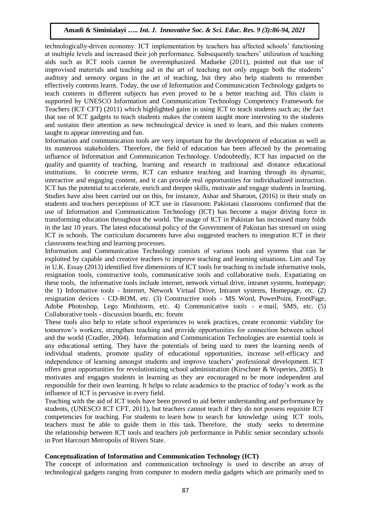technologically-driven economy. ICT implementation by teachers has affected schools' functioning at multiple levels and increased their job performance. Subsequently teachers' utilization of teaching aids such as ICT tools cannot be overemphasized. Madueke (2011), pointed out that use of improvised materials and teaching aid in the art of teaching not only engage both the students' auditory and sensory organs in the art of teaching, but they also help students to remember effectively contents learnt. Today, the use of Information and Communication Technology gadgets to teach contents in different subjects has even proved to be a better teaching aid. This claim is supported by UNESCO Information and Communication Technology Competency Framework for Teachers (ICT CFT) (2011) which highlighted gains in using ICT to teach students such as; the fact that use of ICT gadgets to teach students makes the content taught more interesting to the students and sustains their attention as new technological device is used to learn, and this makes contents taught to appear interesting and fun.

Information and communication tools are very important for the development of education as well as its numerous stakeholders. Therefore, the field of education has been affected by the penetrating influence of Information and Communication Technology. Undoubtedly, ICT has impacted on the quality and quantity of teaching, learning and research in traditional and distance educational institutions. In concrete terms, ICT can enhance teaching and learning through its dynamic, interactive and engaging content, and it can provide real opportunities for individualized instruction. ICT has the potential to accelerate, enrich and deepen skills, motivate and engage students in learning. Studies have also been carried out on this, for instance, Ashar and Sharoon, (2016) in their study on students and teachers perceptions of ICT use in classroom: Pakistani classrooms confirmed that the use of Information and Communication Technology (ICT) has become a major driving force in transforming education throughout the world. The usage of ICT in Pakistan has increased many folds in the last 10 years. The latest educational policy of the Government of Pakistan has stressed on using ICT in schools. The curriculum documents have also suggested teachers to integration ICT in their classrooms teaching and learning processes.

Information and Communication Technology consists of various tools and systems that can be exploited by capable and creative teachers to improve teaching and learning situations. Lim and Tay in U.K. Essay (2013) identified five dimensions of ICT tools for teaching to include informative tools, resignation tools, constructive tools, communicative tools and collaborative tools. Expatiating on these tools, the informative tools include internet, network virtual drive, intranet systems, homepage; the 1) Informative tools - Internet, Network Virtual Drive, Intranet systems, Homepage, etc. (2) resignation devices - CD-ROM, etc. (3) Constructive tools - MS Word, PowerPoint, FrontPage, Adobe Photoshop, Lego Mindstorm, etc. 4) Communicative tools - e-mail, SMS, etc. (5) Collaborative tools - discussion boards, etc. forum

These tools also help to relate school experiences to work practices, create economic viability for tomorrow's workers, strengthen teaching and provide opportunities for connection between school and the world (Cradler, 2004). Information and Communication Technologies are essential tools in any educational setting. They have the potentials of being used to meet the learning needs of individual students, promote quality of educational opportunities, increase self-efficacy and independence of learning amongst students and improve teachers' professional development. ICT offers great opportunities for revolutionizing school administration (Kirschner & Woperies, 2005). It motivates and engages students in learning as they are encouraged to be more independent and responsible for their own learning. It helps to relate academics to the practice of today's work as the influence of ICT is pervasive in every field.

Teaching with the aid of ICT tools have been proved to aid better understanding and performance by students, (UNESCO ICT CFT, 2011), but teachers cannot teach if they do not possess requisite ICT competencies for teaching. For students to learn how to search for knowledge using ICT tools, teachers must be able to guide them in this task. Therefore, the study seeks to determine the relationship between ICT tools and teachers job performance in Public senior secondary schools in Port Harcourt Metropolis of Rivers State.

#### **Conceptualization of Information and Communication Technology (ICT)**

The concept of information and communication technology is used to describe an array of technological gadgets ranging from computer to modern media gadgets which are primarily used to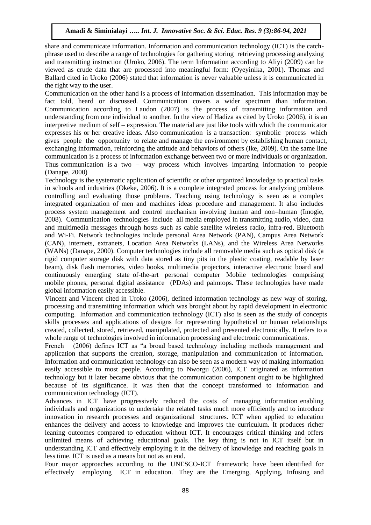share and communicate information. Information and communication technology (ICT) is the catchphrase used to describe a range of technologies for gathering storing retrieving processing analyzing and transmitting instruction (Uroko, 2006). The term Information according to Aliyi (2009) can be viewed as crude data that are processed into meaningful form: (Oyeyinika, 2001). Thomas and Ballard cited in Uroko (2006) stated that information is never valuable unless it is communicated in the right way to the user.

Communication on the other hand is a process of information dissemination. This information may be fact told, heard or discussed. Communication covers a wider spectrum than information. Communication according to Laudon (2007) is the process of transmitting information and understanding from one individual to another. In the view of Hadiza as cited by Uroko (2006), it is an interpretive medium of self – expression. The material are just like tools with which the communicator expresses his or her creative ideas. Also communication is a transaction: symbolic process which gives people the opportunity to relate and manage the environment by establishing human contact, exchanging information, reinforcing the attitude and behaviors of others (Ike, 2009). On the same line communication is a process of information exchange between two or more individuals or organization. Thus communication is a two – way process which involves imparting information to people (Danape, 2000)

Technology is the systematic application of scientific or other organized knowledge to practical tasks in schools and industries (Okeke, 2006). It is a complete integrated process for analyzing problems controlling and evaluating those problems. Teaching using technology is seen as a complex integrated organization of men and machines ideas procedure and management. It also includes process system management and control mechanism involving human and non–human (Imogie, 2008). Communication technologies include all media employed in transmitting audio, video, data and multimedia messages through hosts such as cable satellite wireless radio, infra-red, Bluetooth and Wi-Fi. Network technologies include personal Area Network (PAN), Campus Area Network (CAN), internets, extranets, Location Area Networks (LANs), and the Wireless Area Networks (WANs) (Danape, 2000). Computer technologies include all removable media such as optical disk (a rigid computer storage disk with data stored as tiny pits in the plastic coating, readable by laser beam), disk flash memories, video books, multimedia projectors, interactive electronic board and continuously emerging state of-the-art personal computer Mobile technologies comprising mobile phones, personal digital assistance (PDAs) and palmtops. These technologies have made global information easily accessible.

Vincent and Vincent cited in Uroko (2006), defined information technology as new way of storing, processing and transmitting information which was brought about by rapid development in electronic computing. Information and communication technology (ICT) also is seen as the study of concepts skills processes and applications of designs for representing hypothetical or human relationships created, collected, stored, retrieved, manipulated, protected and presented electronically. It refers to a whole range of technologies involved in information processing and electronic communications.

French (2006) defines ICT as "a broad based technology including methods management and application that supports the creation, storage, manipulation and communication of information. Information and communication technology can also be seen as a modern way of making information easily accessible to most people. According to Nworgu (2006), ICT originated as information technology but it later became obvious that the communication component ought to be highlighted because of its significance. It was then that the concept transformed to information and communication technology (ICT).

Advances in ICT have progressively reduced the costs of managing information enabling individuals and organizations to undertake the related tasks much more efficiently and to introduce innovation in research processes and organizational structures. ICT when applied to education enhances the delivery and access to knowledge and improves the curriculum. It produces richer leaning outcomes compared to education without ICT. It encourages critical thinking and offers unlimited means of achieving educational goals. The key thing is not in ICT itself but in understanding ICT and effectively employing it in the delivery of knowledge and reaching goals in less time. ICT is used as a means but not as an end.

Four major approaches according to the UNESCO-ICT framework; have been identified for effectively employing ICT in education. They are the Emerging, Applying, Infusing and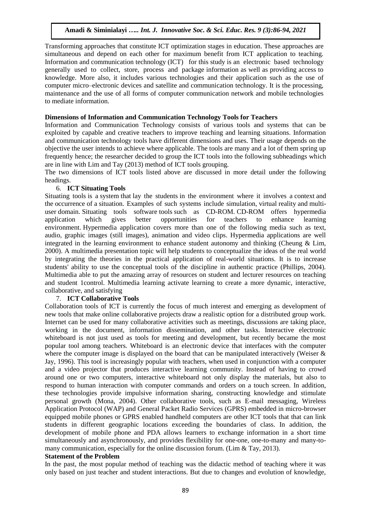Transforming approaches that constitute ICT optimization stages in education. These approaches are simultaneous and depend on each other for maximum benefit from ICT application to teaching. Information and communication technology (ICT) for this study is an electronic based technology generally used to collect, store, process and package information as well as providing access to knowledge. More also, it includes various technologies and their application such as the use of computer micro–electronic devices and satellite and communication technology. It is the processing, maintenance and the use of all forms of computer communication network and mobile technologies to mediate information.

#### **Dimensions of Information and Communication Technology Tools for Teachers**

Information and Communication Technology consists of various tools and systems that can be exploited by capable and creative teachers to improve teaching and learning situations. Information and communication technology tools have different dimensions and uses. Their usage depends on the objective the user intends to achieve where applicable. The tools are many and a lot of them spring up frequently hence; the researcher decided to group the ICT tools into the following subheadings which are in line with Lim and Tay (2013) method of ICT tools grouping.

The two dimensions of ICT tools listed above are discussed in more detail under the following headings.

#### 6. **ICT Situating Tools**

Situating tools is a system that lay the students in the environment where it involves a context and the occurrence of a situation. Examples of such systems include simulation, virtual reality and multiuser domain. Situating tools software tools such as CD-ROM. CD-ROM offers hypermedia<br>application which gives better opportunities for teachers to enhance learning application which gives better opportunities for teachers to enhance learning environment. Hypermedia application covers more than one of the following media such as text, audio, graphic images (still images), animation and video clips. Hypermedia applications are well integrated in the learning environment to enhance student autonomy and thinking (Cheung & Lim, 2000). A multimedia presentation topic will help students to conceptualize the ideas of the real world by integrating the theories in the practical application of real-world situations. It is to increase students' ability to use the conceptual tools of the discipline in authentic practice (Phillips, 2004). Multimedia able to put the amazing array of resources on student and lecturer resources on teaching and student 1control. Multimedia learning activate learning to create a more dynamic, interactive, collaborative, and satisfying

#### 7. **ICT Collaborative Tools**

Collaboration tools of ICT is currently the focus of much interest and emerging as development of new tools that make online collaborative projects draw a realistic option for a distributed group work. Internet can be used for many collaborative activities such as meetings, discussions are taking place, working in the document, information dissemination, and other tasks. Interactive electronic whiteboard is not just used as tools for meeting and development, but recently became the most popular tool among teachers. Whiteboard is an electronic device that interfaces with the computer where the computer image is displayed on the board that can be manipulated interactively (Weiser  $\&$ Jay, 1996). This tool is increasingly popular with teachers, when used in conjunction with a computer and a video projector that produces interactive learning community. Instead of having to crowd around one or two computers, interactive whiteboard not only display the materials, but also to respond to human interaction with computer commands and orders on a touch screen. In addition, these technologies provide impulsive information sharing, constructing knowledge and stimulate personal growth (Mona, 2004). Other collaborative tools, such as E-mail messaging, Wireless Application Protocol (WAP) and General Packet Radio Services (GPRS) embedded in micro-browser equipped mobile phones or GPRS enabled handheld computers are other ICT tools that that can link students in different geographic locations exceeding the boundaries of class. In addition, the development of mobile phone and PDA allows learners to exchange information in a short time simultaneously and asynchronously, and provides flexibility for one-one, one-to-many and many-tomany communication, especially for the online discussion forum. (Lim & Tay, 2013).

#### **Statement of the Problem**

In the past, the most popular method of teaching was the didactic method of teaching where it was only based on just teacher and student interactions. But due to changes and evolution of knowledge,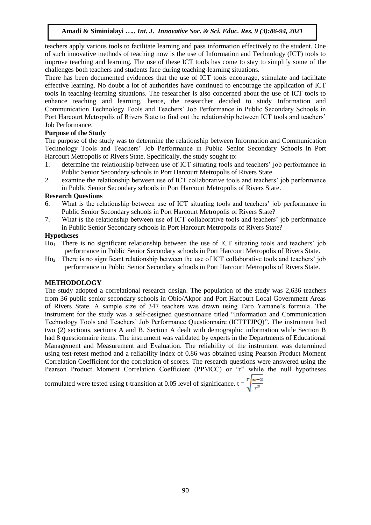teachers apply various tools to facilitate learning and pass information effectively to the student. One of such innovative methods of teaching now is the use of Information and Technology (ICT) tools to improve teaching and learning. The use of these ICT tools has come to stay to simplify some of the challenges both teachers and students face during teaching-learning situations.

There has been documented evidences that the use of ICT tools encourage, stimulate and facilitate effective learning. No doubt a lot of authorities have continued to encourage the application of ICT tools in teaching-learning situations. The researcher is also concerned about the use of ICT tools to enhance teaching and learning, hence, the researcher decided to study Information and Communication Technology Tools and Teachers' Job Performance in Public Secondary Schools in Port Harcourt Metropolis of Rivers State to find out the relationship between ICT tools and teachers' Job Performance.

## **Purpose of the Study**

The purpose of the study was to determine the relationship between Information and Communication Technology Tools and Teachers' Job Performance in Public Senior Secondary Schools in Port Harcourt Metropolis of Rivers State. Specifically, the study sought to:

- 1. determine the relationship between use of ICT situating tools and teachers' job performance in Public Senior Secondary schools in Port Harcourt Metropolis of Rivers State.
- 2. examine the relationship between use of ICT collaborative tools and teachers' job performance in Public Senior Secondary schools in Port Harcourt Metropolis of Rivers State.

## **Research Questions**

- 6. What is the relationship between use of ICT situating tools and teachers' job performance in Public Senior Secondary schools in Port Harcourt Metropolis of Rivers State?
- 7. What is the relationship between use of ICT collaborative tools and teachers' job performance in Public Senior Secondary schools in Port Harcourt Metropolis of Rivers State?

#### **Hypotheses**

- Ho<sup>1</sup> There is no significant relationship between the use of ICT situating tools and teachers' job performance in Public Senior Secondary schools in Port Harcourt Metropolis of Rivers State.
- Ho<sup>2</sup> There is no significant relationship between the use of ICT collaborative tools and teachers' job performance in Public Senior Secondary schools in Port Harcourt Metropolis of Rivers State.

#### **METHODOLOGY**

The study adopted a correlational research design. The population of the study was 2,636 teachers from 36 public senior secondary schools in Obio/Akpor and Port Harcourt Local Government Areas of Rivers State. A sample size of 347 teachers was drawn using Taro Yamane's formula. The instrument for the study was a self-designed questionnaire titled "Information and Communication Technology Tools and Teachers' Job Performance Questionnaire (ICTTTJPQ)". The instrument had two (2) sections, sections A and B. Section A dealt with demographic information while Section B had 8 questionnaire items. The instrument was validated by experts in the Departments of Educational Management and Measurement and Evaluation. The reliability of the instrument was determined using test-retest method and a reliability index of 0.86 was obtained using Pearson Product Moment Correlation Coefficient for the correlation of scores. The research questions were answered using the Pearson Product Moment Correlation Coefficient (PPMCC) or "r" while the null hypotheses

formulated were tested using t-transition at 0.05 level of significance.  $t = \sqrt{\frac{n-2}{r^2}}$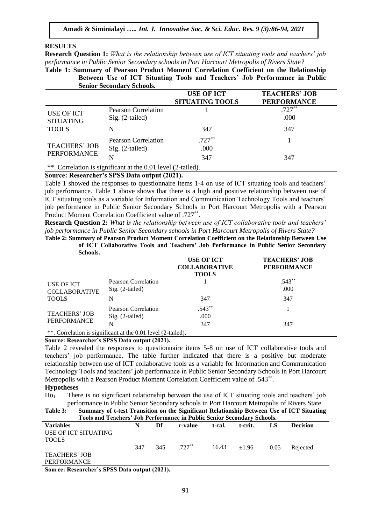#### **RESULTS**

**Research Question 1:** *What is the relationship between use of ICT situating tools and teachers' job performance in Public Senior Secondary schools in Port Harcourt Metropolis of Rivers State?*

**Table 1: Summary of Pearson Product Moment Correlation Coefficient on the Relationship Between Use of ICT Situating Tools and Teachers' Job Performance in Public Senior Secondary Schools.**

|                                                |                                                                   | <b>USE OF ICT</b><br><b>SITUATING TOOLS</b> | <b>TEACHERS' JOB</b><br><b>PERFORMANCE</b> |
|------------------------------------------------|-------------------------------------------------------------------|---------------------------------------------|--------------------------------------------|
| USE OF ICT<br><b>SITUATING</b><br><b>TOOLS</b> | <b>Pearson Correlation</b><br>$Sig. (2-tailed)$                   |                                             | $.727**$<br>.000                           |
|                                                | N                                                                 | 347                                         | 347                                        |
| <b>TEACHERS' JOB</b><br><b>PERFORMANCE</b>     | Pearson Correlation<br>$Sig. (2-tailed)$                          | $.727**$<br>.000                            |                                            |
|                                                | N<br>**. Correlation is significant at the 0.01 level (2-tailed). | 347                                         | 347                                        |

#### **Source: Researcher's SPSS Data output (2021).**

Table 1 showed the responses to questionnaire items 1-4 on use of ICT situating tools and teachers' job performance. Table 1 above shows that there is a high and positive relationship between use of ICT situating tools as a variable for Information and Communication Technology Tools and teachers' job performance in Public Senior Secondary Schools in Port Harcourt Metropolis with a Pearson Product Moment Correlation Coefficient value of .727<sup>\*\*</sup>.

**Research Question 2:** *What is the relationship between use of ICT collaborative tools and teachers' job performance in Public Senior Secondary schools in Port Harcourt Metropolis of Rivers State?*

**Table 2: Summary of Pearson Product Moment Correlation Coefficient on the Relationship Between Use of ICT Collaborative Tools and Teachers' Job Performance in Public Senior Secondary Schools.**

| <u>UCHUUMI</u>                                     |                                                              |                                                           |                                            |
|----------------------------------------------------|--------------------------------------------------------------|-----------------------------------------------------------|--------------------------------------------|
|                                                    |                                                              | <b>USE OF ICT</b><br><b>COLLABORATIVE</b><br><b>TOOLS</b> | <b>TEACHERS' JOB</b><br><b>PERFORMANCE</b> |
| USE OF ICT<br><b>COLLABORATIVE</b><br><b>TOOLS</b> | Pearson Correlation<br>Sig. (2-tailed)                       |                                                           | $.543**$<br>.000                           |
|                                                    | N                                                            | 347                                                       | 347                                        |
| <b>TEACHERS' JOB</b><br>PERFORMANCE                | Pearson Correlation<br>$Sig. (2-tailed)$                     | $.543**$<br>.000                                          |                                            |
|                                                    | N                                                            | 347                                                       | 347                                        |
|                                                    | **. Correlation is significant at the 0.01 level (2-tailed). |                                                           |                                            |

#### **Source: Researcher's SPSS Data output (2021).**

Table 2 revealed the responses to questionnaire items 5-8 on use of ICT collaborative tools and teachers' job performance. The table further indicated that there is a positive but moderate relationship between use of ICT collaborative tools as a variable for Information and Communication Technology Tools and teachers' job performance in Public Senior Secondary Schools in Port Harcourt Metropolis with a Pearson Product Moment Correlation Coefficient value of .543<sup>\*\*</sup>.

#### **Hypotheses**

Ho<sup>1</sup> There is no significant relationship between the use of ICT situating tools and teachers' job performance in Public Senior Secondary schools in Port Harcourt Metropolis of Rivers State.

**Table 3: Summary of t-test Transition on the Significant Relationship Between Use of ICT Situating Tools and Teachers' Job Performance in Public Senior Secondary Schools.**

| <b>Variables</b>                                                                                      | N   | Df  | r-value   | t-cal. | t-crit. | LS   | <b>Decision</b> |
|-------------------------------------------------------------------------------------------------------|-----|-----|-----------|--------|---------|------|-----------------|
| USE OF ICT SITUATING                                                                                  |     |     |           |        |         |      |                 |
| <b>TOOLS</b>                                                                                          |     |     |           |        |         |      |                 |
|                                                                                                       | 347 | 345 | $.727***$ | 16.43  | ±1.96   | 0.05 | Rejected        |
| <b>TEACHERS' JOB</b>                                                                                  |     |     |           |        |         |      |                 |
| PERFORMANCE                                                                                           |     |     |           |        |         |      |                 |
| $C_1, \ldots, D_n, \ldots, L_n, A_n \in \mathbb{R} \setminus \mathbb{R} \setminus \{1, \ldots, L_n\}$ |     |     |           |        |         |      |                 |

**Source: Researcher's SPSS Data output (2021).**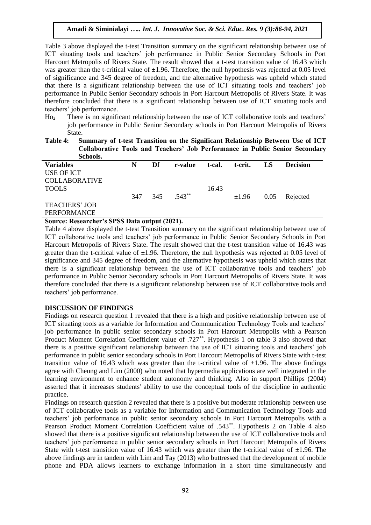Table 3 above displayed the t-test Transition summary on the significant relationship between use of ICT situating tools and teachers' job performance in Public Senior Secondary Schools in Port Harcourt Metropolis of Rivers State. The result showed that a t-test transition value of 16.43 which was greater than the t-critical value of  $\pm 1.96$ . Therefore, the null hypothesis was rejected at 0.05 level of significance and 345 degree of freedom, and the alternative hypothesis was upheld which stated that there is a significant relationship between the use of ICT situating tools and teachers' job performance in Public Senior Secondary schools in Port Harcourt Metropolis of Rivers State. It was therefore concluded that there is a significant relationship between use of ICT situating tools and teachers' job performance.

- Ho<sup>2</sup> There is no significant relationship between the use of ICT collaborative tools and teachers' job performance in Public Senior Secondary schools in Port Harcourt Metropolis of Rivers State.
- **Table 4: Summary of t-test Transition on the Significant Relationship Between Use of ICT Collaborative Tools and Teachers' Job Performance in Public Senior Secondary Schools.**

| <u>U UAAV VAUT</u>   |     |     |          |        |            |      |                 |
|----------------------|-----|-----|----------|--------|------------|------|-----------------|
| <b>Variables</b>     | N   | Df  | r-value  | t-cal. | t-crit.    | LS   | <b>Decision</b> |
| USE OF ICT           |     |     |          |        |            |      |                 |
| <b>COLLABORATIVE</b> |     |     |          |        |            |      |                 |
| <b>TOOLS</b>         |     |     |          | 16.43  |            |      |                 |
|                      | 347 | 345 | $.543**$ |        | $\pm 1.96$ | 0.05 | Rejected        |
| <b>TEACHERS' JOB</b> |     |     |          |        |            |      |                 |
| PERFORMANCE          |     |     |          |        |            |      |                 |

#### **Source: Researcher's SPSS Data output (2021).**

Table 4 above displayed the t-test Transition summary on the significant relationship between use of ICT collaborative tools and teachers' job performance in Public Senior Secondary Schools in Port Harcourt Metropolis of Rivers State. The result showed that the t-test transition value of 16.43 was greater than the t-critical value of  $\pm 1.96$ . Therefore, the null hypothesis was rejected at 0.05 level of significance and 345 degree of freedom, and the alternative hypothesis was upheld which states that there is a significant relationship between the use of ICT collaborative tools and teachers' job performance in Public Senior Secondary schools in Port Harcourt Metropolis of Rivers State. It was therefore concluded that there is a significant relationship between use of ICT collaborative tools and teachers' job performance.

#### **DISCUSSION OF FINDINGS**

Findings on research question 1 revealed that there is a high and positive relationship between use of ICT situating tools as a variable for Information and Communication Technology Tools and teachers' job performance in public senior secondary schools in Port Harcourt Metropolis with a Pearson Product Moment Correlation Coefficient value of .727<sup>\*\*</sup>. Hypothesis 1 on table 3 also showed that there is a positive significant relationship between the use of ICT situating tools and teachers' job performance in public senior secondary schools in Port Harcourt Metropolis of Rivers State with t-test transition value of 16.43 which was greater than the t-critical value of  $\pm 1.96$ . The above findings agree with Cheung and Lim (2000) who noted that hypermedia applications are well integrated in the learning environment to enhance student autonomy and thinking. Also in support Phillips (2004) asserted that it increases students' ability to use the conceptual tools of the discipline in authentic practice.

Findings on research question 2 revealed that there is a positive but moderate relationship between use of ICT collaborative tools as a variable for Information and Communication Technology Tools and teachers' job performance in public senior secondary schools in Port Harcourt Metropolis with a Pearson Product Moment Correlation Coefficient value of .543<sup>\*\*</sup>. Hypothesis 2 on Table 4 also showed that there is a positive significant relationship between the use of ICT collaborative tools and teachers' job performance in public senior secondary schools in Port Harcourt Metropolis of Rivers State with t-test transition value of 16.43 which was greater than the t-critical value of  $\pm 1.96$ . The above findings are in tandem with Lim and Tay (2013) who buttressed that the development of mobile phone and PDA allows learners to exchange information in a short time simultaneously and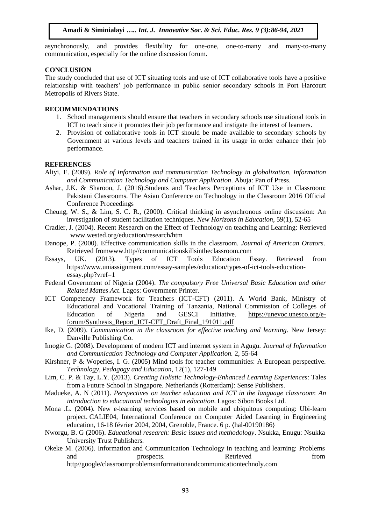asynchronously, and provides flexibility for one-one, one-to-many and many-to-many communication, especially for the online discussion forum.

#### **CONCLUSION**

The study concluded that use of ICT situating tools and use of ICT collaborative tools have a positive relationship with teachers' job performance in public senior secondary schools in Port Harcourt Metropolis of Rivers State.

#### **RECOMMENDATIONS**

- 1. School managements should ensure that teachers in secondary schools use situational tools in ICT to teach since it promotes their job performance and instigate the interest of learners.
- 2. Provision of collaborative tools in ICT should be made available to secondary schools by Government at various levels and teachers trained in its usage in order enhance their job performance.

#### **REFERENCES**

- Aliyi, E. (2009). *Role of Information and communication Technology in globalization. Information and Communication Technology and Computer Application*. Abuja: Pan of Press.
- Ashar, J.K. & Sharoon, J. (2016).Students and Teachers Perceptions of ICT Use in Classroom: Pakistani Classrooms. The Asian Conference on Technology in the Classroom 2016 Official Conference Proceedings
- Cheung, W. S., & Lim, S. C. R., (2000). Critical thinking in asynchronous online discussion: An investigation of student facilitation techniques. *New Horizons in Education*, 59(1), 52-65
- Cradler, J. (2004). Recent Research on the Effect of Technology on teaching and Learning: Retrieved [www.wested.org/education/research/htm](http://www.wested.org/education/research/htm)
- Danope, P. (2000). Effective communication skills in the classroom. *Journal of American Orators*. Retrieved fromwww.http//communicationskillsintheclassroom.com
- Essays, UK. (2013). Types of ICT Tools Education Essay. Retrieved from https://www.uniassignment.com/essay-samples/education/types-of-ict-tools-educationessay.php?vref=1
- Federal Government of Nigeria (2004). *The compulsory Free Universal Basic Education and other Related Mattes Act*. Lagos: Government Printer.
- ICT Competency Framework for Teachers (ICT-CFT) (2011). A World Bank, Ministry of Educational and Vocational Training of Tanzania, National Commission of Colleges of Education of Nigeria and GESCI Initiative. [https://unevoc.unesco.org/e](https://unevoc.unesco.org/e-forum/Synthesis_Report_ICT-CFT_Draft_Final_191011.pdf)[forum/Synthesis\\_Report\\_ICT-CFT\\_Draft\\_Final\\_191011.pdf](https://unevoc.unesco.org/e-forum/Synthesis_Report_ICT-CFT_Draft_Final_191011.pdf)
- Ike, D. (2009). *Communication in the classroom for effective teaching and learning*. New Jersey: Danville Publishing Co.
- Imogie G. (2008). Development of modern ICT and internet system in Agugu. *Journal of Information and Communication Technology and Computer Application.* 2, 55-64
- Kirshner, P & Woperies, I. G. (2005) Mind tools for teacher communities: A European perspective. *Technology, Pedagogy and Education*, 12(1), 127-149
- Lim, C. P. & Tay, L.Y. (2013). *Creating Holistic Technology-Enhanced Learning Experiences*: Tales from a Future School in Singapore. Netherlands (Rotterdam): Sense Publishers.
- Madueke, A. N (2011). *Perspectives on teacher education and ICT in the language classroom*: *An introduction to educational technologies in education*. Lagos: Sibon Books Ltd.
- Mona .L. (2004). New e-learning services based on mobile and ubiquitous computing: Ubi-learn project. CALIE04, International Conference on Computer Aided Learning in Engineering education, 16-18 février 2004, 2004, Grenoble, France. 6 p. ⟨[hal-00190186](https://telearn.archives-ouvertes.fr/hal-00190186)⟩
- Nworgu, B. G (2006). *Educational research: Basic issues and methodology*. Nsukka, Enugu: Nsukka University Trust Publishers.
- Okeke M. (2006). Information and Communication Technology in teaching and learning: Problems and prospects. Retrieved from

http//google/classroomproblemsinformationandcommunicationtechnoly.com